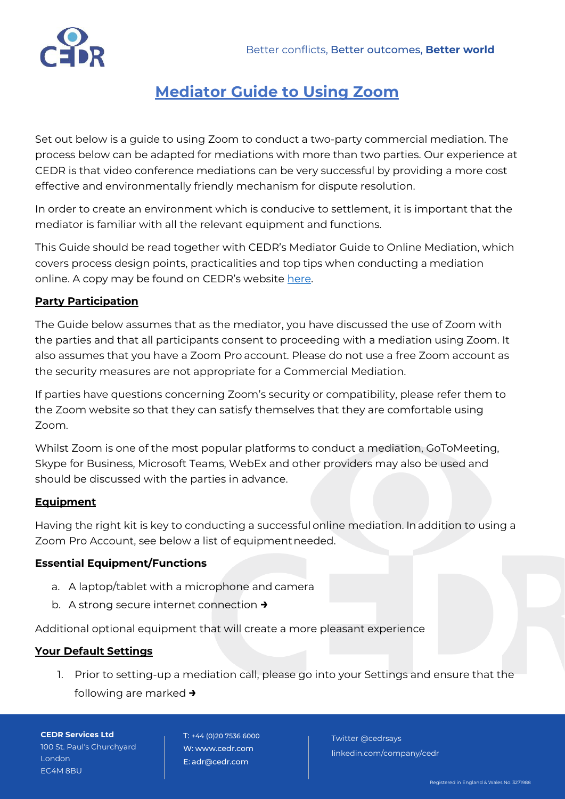

# **Mediator Guide to Using Zoom**

Set out below is a guide to using Zoom to conduct a two-party commercial mediation. The process below can be adapted for mediations with more than two parties. Our experience at CEDR is that video conference mediations can be very successful by providing a more cost effective and environmentally friendly mechanism for dispute resolution.

In order to create an environment which is conducive to settlement, it is important that the mediator is familiar with all the relevant equipment and functions.

This Guide should be read together with CEDR's Mediator Guide to Online Mediation, which covers process design points, practicalities and top tips when conducting a mediation online. A copy may be found on CEDR's website [here.](https://www.cedr.com/commercial/telephone-and-online-mediations/)

## **Party Participation**

The Guide below assumes that as the mediator, you have discussed the use of Zoom with the parties and that all participants consent to proceeding with a mediation using Zoom. It also assumes that you have a Zoom Pro account. Please do not use a free Zoom account as the security measures are not appropriate for a Commercial Mediation.

If parties have questions concerning Zoom's security or compatibility, please refer them to the Zoom website so that they can satisfy themselves that they are comfortable using Zoom.

Whilst Zoom is one of the most popular platforms to conduct a mediation, GoToMeeting, Skype for Business, Microsoft Teams, WebEx and other providers may also be used and should be discussed with the parties in advance.

## **Equipment**

Having the right kit is key to conducting a successfulonline mediation. In addition to using a Zoom Pro Account, see below a list of equipmentneeded.

## **Essential Equipment/Functions**

- a. A laptop/tablet with a microphone and camera
- b. A strong secure internet connection **→**

Additional optional equipment that will create a more pleasant experience

## **Your Default Settings**

1. Prior to setting-up a mediation call, please go into your Settings and ensure that the following are marked **→**

**CEDR Services Ltd** 100 St. Paul's Churchyard London EC4M 8BU

T: +44 (0)20 7536 6000 W: [www.cedr.com](http://www.cedr.com/) E: [adr@cedr.com](mailto:adr@cedr.com)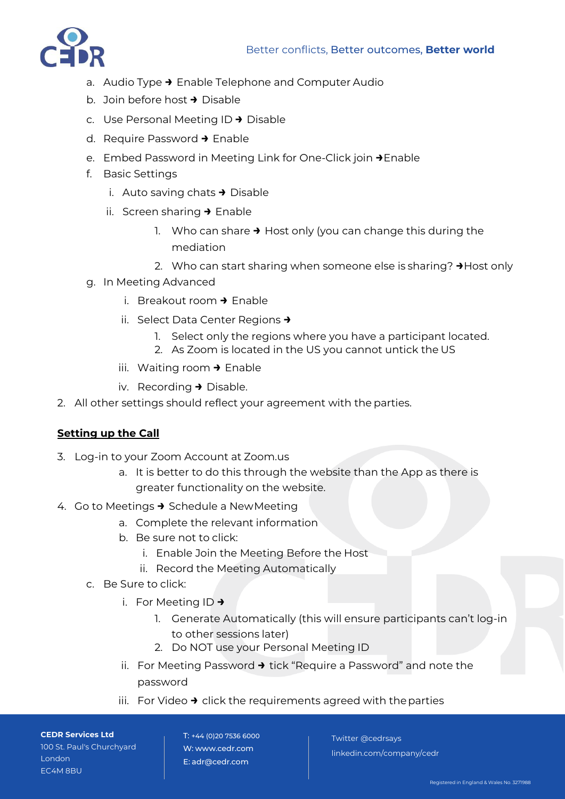

- a. Audio Type **→** Enable Telephone and Computer Audio
- b. Join before host **→** Disable
- c. Use Personal Meeting ID **→** Disable
- d. Require Password **→** Enable
- e. Embed Password in Meeting Link for One-Click join **→**Enable
- f. Basic Settings
	- i. Auto saving chats **→** Disable
	- ii. Screen sharing **→** Enable
		- 1. Who can share **→** Host only (you can change this during the mediation
		- 2. Who can start sharing when someone else is sharing? **→**Host only
- g. In Meeting Advanced
	- i. Breakout room **→** Enable
	- ii. Select Data Center Regions **→**
		- 1. Select only the regions where you have a participant located.
		- 2. As Zoom is located in the US you cannot untick the US
	- iii. Waiting room **→** Enable
	- iv. Recording **→** Disable.
- 2. All other settings should reflect your agreement with the parties.

## **Setting up the Call**

- 3. Log-in to your Zoom Account at Zoom.us
	- a. It is better to do this through the website than the App as there is greater functionality on the website.
- 4. Go to Meetings **→** Schedule a NewMeeting
	- a. Complete the relevant information
	- b. Be sure not to click:
		- i. Enable Join the Meeting Before the Host
		- ii. Record the Meeting Automatically
	- c. Be Sure to click:
		- i. For Meeting ID **→**
			- 1. Generate Automatically (this will ensure participants can't log-in to other sessions later)
			- 2. Do NOT use your Personal Meeting ID
		- ii. For Meeting Password **→** tick "Require a Password" and note the password
		- iii. For Video **→** click the requirements agreed with the parties

**CEDR Services Ltd** 100 St. Paul's Churchyard London EC4M 8BU

T: +44 (0)20 7536 6000 W: [www.cedr.com](http://www.cedr.com/) E: [adr@cedr.com](mailto:adr@cedr.com)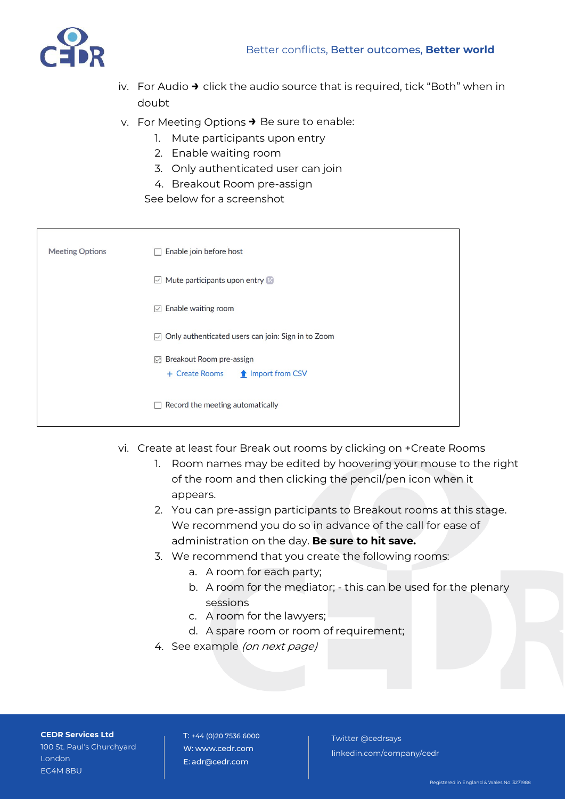

- iv. For Audio **→** click the audio source that is required, tick "Both" when in doubt
- v. For Meeting Options **→** Be sure to enable:
	- 1. Mute participants upon entry
	- 2. Enable waiting room
	- 3. Only authenticated user can join
	- 4. Breakout Room pre-assign

See below for a screenshot

| <b>Meeting Options</b> | Enable join before host<br>п                                                   |
|------------------------|--------------------------------------------------------------------------------|
|                        | $\boxdot$ Mute participants upon entry $\boxdot$                               |
|                        | Enable waiting room<br>☑                                                       |
|                        | Only authenticated users can join: Sign in to Zoom<br>☑                        |
|                        | <b>Ext</b> Breakout Room pre-assign<br>+ Create Rooms <b>1</b> Import from CSV |
|                        | Record the meeting automatically                                               |

- vi. Create at least four Break out rooms by clicking on +Create Rooms
	- 1. Room names may be edited by hoovering your mouse to the right of the room and then clicking the pencil/pen icon when it appears.
	- 2. You can pre-assign participants to Breakout rooms at this stage. We recommend you do so in advance of the call for ease of administration on the day. **Be sure to hit save.**
	- 3. We recommend that you create the following rooms:
		- a. A room for each party;
		- b. A room for the mediator; this can be used for the plenary sessions
		- c. A room for the lawyers;
		- d. A spare room or room of requirement;
	- 4. See example (on next page)

**CEDR Services Ltd** 100 St. Paul's Churchyard London EC4M 8BU

T: +44 (0)20 7536 6000 W: [www.cedr.com](http://www.cedr.com/) E: [adr@cedr.com](mailto:adr@cedr.com)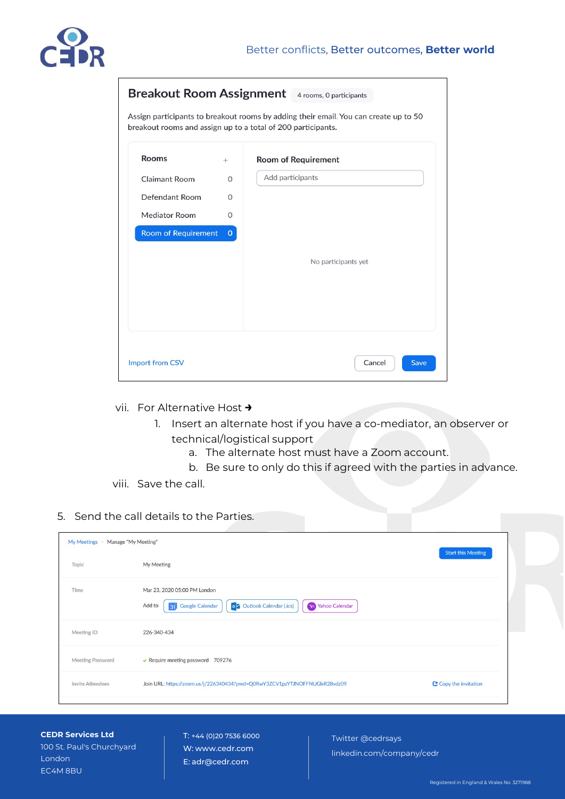

|                            |              | <b>Breakout Room Assignment</b> 4 rooms, 0 participants                                                                                              |
|----------------------------|--------------|------------------------------------------------------------------------------------------------------------------------------------------------------|
|                            |              | Assign participants to breakout rooms by adding their email. You can create up to 50<br>breakout rooms and assign up to a total of 200 participants. |
| <b>Rooms</b>               | $^{+}$       | <b>Room of Requirement</b>                                                                                                                           |
| <b>Claimant Room</b>       | 0            | Add participants                                                                                                                                     |
| Defendant Room             | 0            |                                                                                                                                                      |
| <b>Mediator Room</b>       | $\Omega$     |                                                                                                                                                      |
| <b>Room of Requirement</b> | $\mathbf{O}$ |                                                                                                                                                      |
|                            |              | No participants yet                                                                                                                                  |
| <b>Import from CSV</b>     |              | Cancel<br>Save                                                                                                                                       |

- vii. For Alternative Host **→**
	- 1. Insert an alternate host if you have a co-mediator, an observer or technical/logistical support
		- a. The alternate host must have a Zoom account.
		- b. Be sure to only do this if agreed with the parties in advance.
- viii. Save the call.

### 5. Send the call details to the Parties.

| My Meetings > Manage "My Meeting" |                                                                                                                                       | <b>Start this Meeting</b> |
|-----------------------------------|---------------------------------------------------------------------------------------------------------------------------------------|---------------------------|
| Topic                             | My Meeting                                                                                                                            |                           |
| Time                              | Mar 23, 2020 05:00 PM London<br><b>o Z</b> Outlook Calendar (.ics)<br><b>Yahoo Calendar</b><br>Add to<br><b>Google Calendar</b><br>31 |                           |
| Meeting ID                        | 226-340-434                                                                                                                           |                           |
| <b>Meeting Password</b>           | $\vee$ Require meeting password 709276                                                                                                |                           |
| <b>Invite Attendees</b>           | Join URL: https://zoom.us/j/226340434?pwd=Q0RwY3ZCV1pzYTJNOFFNUGIsR28vdz09                                                            | Copy the invitation       |

**CEDR Services Ltd** 100 St. Paul's Churchyard London EC4M 8BU

T: +44 (0)20 7536 6000 W: [www.cedr.com](http://www.cedr.com/) E: [adr@cedr.com](mailto:adr@cedr.com)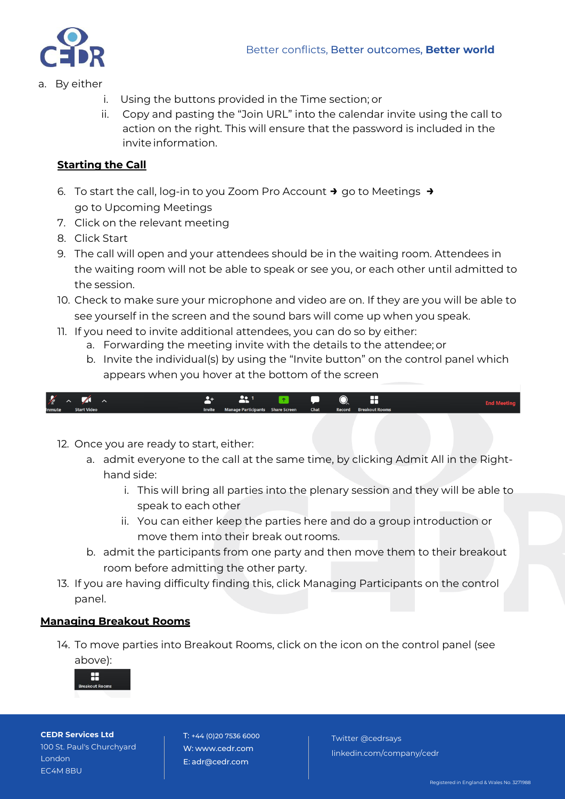

- a. By either
	- i. Using the buttons provided in the Time section; or
	- ii. Copy and pasting the "Join URL" into the calendar invite using the call to action on the right. This will ensure that the password is included in the invite information.

## **Starting the Call**

- 6. To start the call, log-in to you Zoom Pro Account **→** go to Meetings **→** go to Upcoming Meetings
- 7. Click on the relevant meeting
- 8. Click Start
- 9. The call will open and your attendees should be in the waiting room. Attendees in the waiting room will not be able to speak or see you, or each other until admitted to the session.
- 10. Check to make sure your microphone and video are on. If they are you will be able to see yourself in the screen and the sound bars will come up when you speak.
- 11. If you need to invite additional attendees, you can do so by either:
	- a. Forwarding the meeting invite with the details to the attendee; or
	- b. Invite the individual(s) by using the "Invite button" on the control panel which appears when you hover at the bottom of the screen



- 12. Once you are ready to start, either:
	- a. admit everyone to the call at the same time, by clicking Admit All in the Righthand side:
		- i. This will bring all parties into the plenary session and they will be able to speak to each other
		- ii. You can either keep the parties here and do a group introduction or move them into their break out rooms.
	- b. admit the participants from one party and then move them to their breakout room before admitting the other party.
- 13. If you are having difficulty finding this, click Managing Participants on the control panel.

## **Managing Breakout Rooms**

14. To move parties into Breakout Rooms, click on the icon on the control panel (see above):



**CEDR Services Ltd** 100 St. Paul's Churchyard London EC4M 8BU

T: +44 (0)20 7536 6000 W: [www.cedr.com](http://www.cedr.com/) E: [adr@cedr.com](mailto:adr@cedr.com)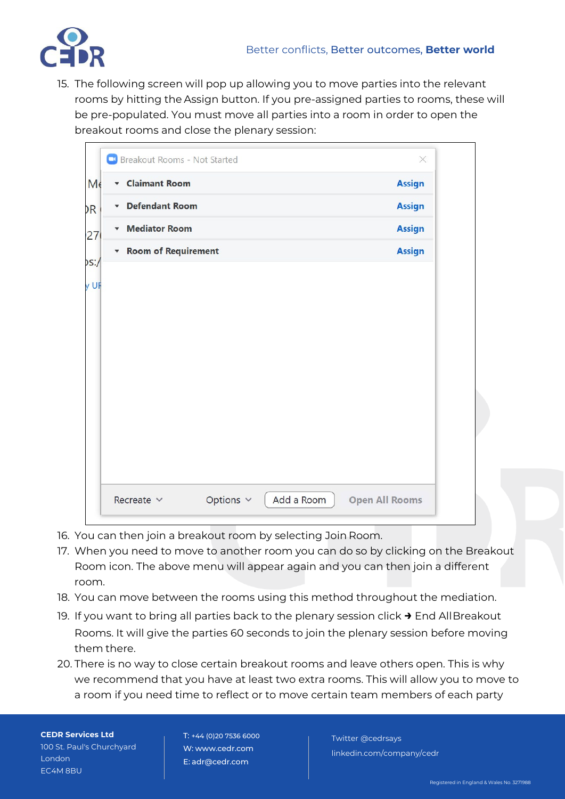15. The following screen will pop up allowing you to move parties into the relevant rooms by hitting the Assign button. If you pre-assigned parties to rooms, these will be pre-populated. You must move all parties into a room in order to open the breakout rooms and close the plenary session:

| <b>Claimant Room</b><br>$\blacktriangledown$  |  | <b>Assign</b> |
|-----------------------------------------------|--|---------------|
| <b>Defendant Room</b><br>$\blacktriangledown$ |  | <b>Assign</b> |
| <b>Mediator Room</b><br>$\blacktriangledown$  |  | <b>Assign</b> |
| <b>v</b> Room of Requirement                  |  | <b>Assign</b> |
|                                               |  |               |
|                                               |  |               |
|                                               |  |               |
|                                               |  |               |
|                                               |  |               |
|                                               |  |               |
|                                               |  |               |
|                                               |  |               |
|                                               |  |               |

- 16. You can then join a breakout room by selecting Join Room.
- 17. When you need to move to another room you can do so by clicking on the Breakout Room icon. The above menu will appear again and you can then join a different room.
- 18. You can move between the rooms using this method throughout the mediation.
- 19. If you want to bring all parties back to the plenary session click **→** End AllBreakout Rooms. It will give the parties 60 seconds to join the plenary session before moving them there.
- 20. There is no way to close certain breakout rooms and leave others open. This is why we recommend that you have at least two extra rooms. This will allow you to move to a room if you need time to reflect or to move certain team members of each party

**CEDR Services Ltd** 100 St. Paul's Churchyard London EC4M 8BU

T: +44 (0)20 7536 6000 W: [www.cedr.com](http://www.cedr.com/) E: [adr@cedr.com](mailto:adr@cedr.com)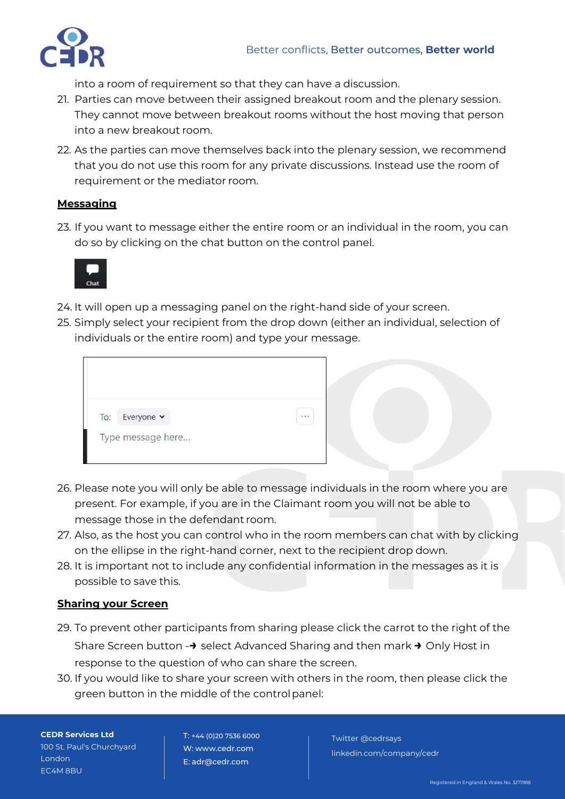

into a room of requirement so that they can have a discussion.

- 21. Parties can move between their assigned breakout room and the plenary session. They cannot move between breakout rooms without the host moving that person into a new breakout room.
- 22. As the parties can move themselves back into the plenary session, we recommend that you do not use this room for any private discussions. Instead use the room of requirement or the mediator room.

## **Messaging**

23. If you want to message either the entire room or an individual in the room, you can do so by clicking on the chat button on the control panel.



- 24. It will open up a messaging panel on the right-hand side of your screen.
- 25. Simply select your recipient from the drop down (either an individual, selection of individuals or the entire room) and type your message.

| To:<br>Everyone $\sim$<br>$\cdots$<br>Type message here |  |  |  |  |
|---------------------------------------------------------|--|--|--|--|
|                                                         |  |  |  |  |
|                                                         |  |  |  |  |

- 26. Please note you will only be able to message individuals in the room where you are present. For example, if you are in the Claimant room you will not be able to message those in the defendant room.
- 27. Also, as the host you can control who in the room members can chat with by clicking on the ellipse in the right-hand corner, next to the recipient drop down.
- 28. It is important not to include any confidential information in the messages as it is possible to save this.

## **Sharing your Screen**

- 29. To prevent other participants from sharing please click the carrot to the right of the Share Screen button -**→** select Advanced Sharing and then mark **→** Only Host in response to the question of who can share the screen.
- 30. If you would like to share your screen with others in the room, then please click the green button in the middle of the controlpanel:

**CEDR Services Ltd** 100 St. Paul's Churchyard London EC4M 8BU

T: +44 (0)20 7536 6000 W: [www.cedr.com](http://www.cedr.com/) E: [adr@cedr.com](mailto:adr@cedr.com)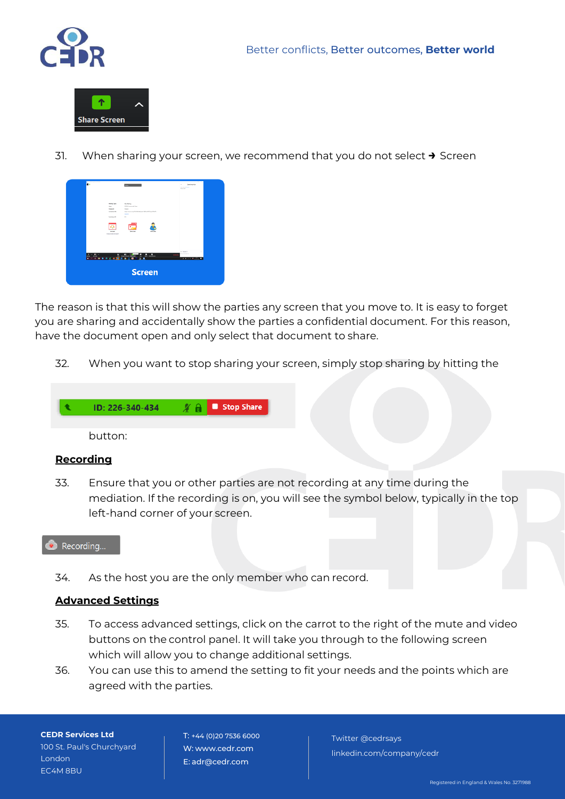



31. When sharing your screen, we recommend that you do not select **→** Screen



The reason is that this will show the parties any screen that you move to. It is easy to forget you are sharing and accidentally show the parties a confidential document. For this reason, have the document open and only select that document to share.

32. When you want to stop sharing your screen, simply stop sharing by hitting the



button:

#### **Recording**

33. Ensure that you or other parties are not recording at any time during the mediation. If the recording is on, you will see the symbol below, typically in the top left-hand corner of your screen.



34. As the host you are the only member who can record.

### **Advanced Settings**

- 35. To access advanced settings, click on the carrot to the right of the mute and video buttons on the control panel. It will take you through to the following screen which will allow you to change additional settings.
- 36. You can use this to amend the setting to fit your needs and the points which are agreed with the parties.

**CEDR Services Ltd** 100 St. Paul's Churchyard London EC4M 8BU

T: +44 (0)20 7536 6000 W: [www.cedr.com](http://www.cedr.com/) E: [adr@cedr.com](mailto:adr@cedr.com)